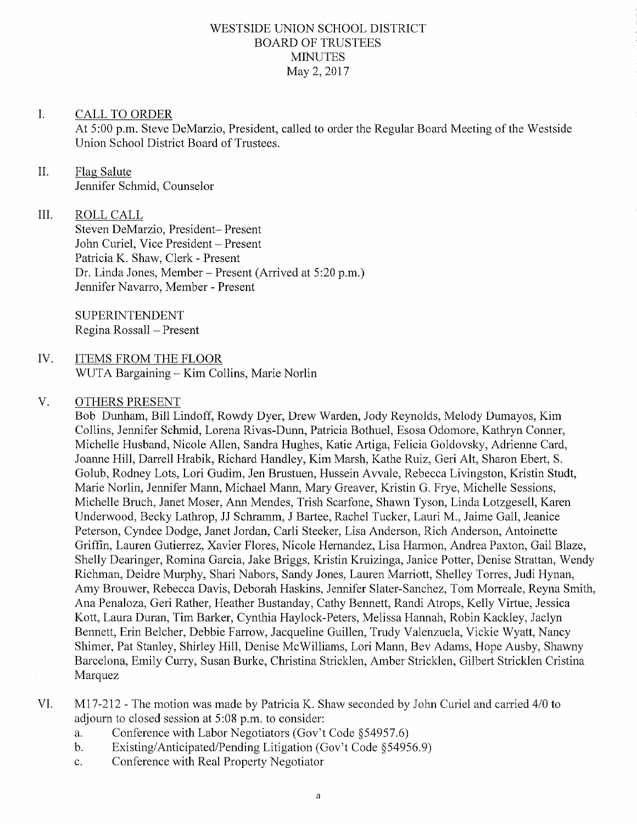# WESTSIDE UNION SCHOOL DISTRICT BOARD OF TRUSTEES **MINUTES** May 2, 2017

#### I. CALL TO ORDER

At 5:00 p.m. Steve DeMarzio, President, called to order the Regular Board Meeting of the Westside Union School District Board of Trustees.

### Flas Salute Jennifer Schmid, Counselor II.

#### ROLL CALL IiI.

Steven DeMarzio, President- Present John Curiel, Vice President - Present Patricia K. Shaw, Clerk - Present Dr. Linda Jones, Member - Present (Arrived at 5:20 p.m.) Jennifer Navarro, Member - Present

SUPERINTENDENT Regina Rossall - Present

### ITEMS FROM THE FLOOR WUTA Bargaining - Kim Collins, Marie Norlin IV

#### $V$ . OTHERS PRESENT

Bob Dunham, Bill Lindoff, Rowdy Dyer, Drew Warden, Jody Reynolds, Melody Dumayos, Kim Collins, Jennifer Schmid, Lorena Rivas-Dunn, Patricia Bothuel, Esosa Odomore, Kathryn Conner, Michelle Husband, Nicole Allen, Sandra Hughes, Katie Artiga, Felicia Goldovsky, Adrienne Card, Joanne Hill, Darrell Hrabik, Richard Handley, Kim Marsh, Kathe Ruiz, Geri Alt, Sharon Ebert, S. Golub, Rodney Lots, Lori Gudim, Jen Brustuen, Hussein Awale, Rebecca Livingston, Kristin Studt, Marie Norlin, Jennifer Mann, Michael Mann, Mary Greaver, Kristin G. Frye, Michelle Sessions, Michelle Bruch, Janet Moser, Ann Mendes, Trish Scarfone, Shawn Tyson, Linda Lotzgesell, Karen Underwood, Becky Lathrop, JJ Schramm, J Bartee, Rachel Tucker, Lauri M., Jaime Gall, Jeanice Peterson, Cyndee Dodge, Janet Jordan, Carli Steeker, Lisa Anderson, Rich Anderson, Antoinette Griffin, Lauren Gutierrez, Xavier Flores, Nicole Hernandez, Lisa Harmon, Andrea Paxton, Gail Blaze, Shelly Dearinger, Romina Garcia, Jake Briggs, Kristin Kruizinga, Janice Potter, Denise Strattan, Wendy Richman, Deidre Murphy, Shari Nabors, Sandy Jones, Lauren Marriott, Shelley Torres, Judi Hynan, Amy Brouwer, Rebecca Davis, Deborah Haskins, Jennifer Slater-Sanchez, Tom Morreale, Reyna Smith, Ana Penaloza, Geri Rather, Heather Bustanday, Calhy Bennett, Randi Atrops, Kelly Virtue, Jessica Kott, Laura Duran, Tim Barker, Cynthia Haylock-Peters, Melissa Hannah, Robin Kackley, Jaclyn Bennett, Erin Belcher, Debbie Farrow, Jacqueline Guillen, Trudy Valenzuela, Vickie Wyatt, Nancy Shimer, Pat Stanley, Shirley Hill, Denise McWilliams, Lori Mann, Bev Adams, Hope Ausby, Shawny Barcelona, Emily Cuny, Susan Burke, Christina Stricklen, Amber Stricklen, Gilbert Stricklen Cristina Marquez

- M17-212 The motion was made by Patricia K. Shaw seconded by John Curiel and carried 4/0 to adjourn to closed session at 5:08 p.m. to consider:<br>a. Conference with Labor Negotiators (Gov't Code §54957.6) VI
	- a. Conference with Labor Negotiators (Gov't Code §54957.6)<br>b. Existing/Anticipated/Pending Litigation (Gov't Code §54956.9)
	-
	- c. Conference with Real Property Negotiator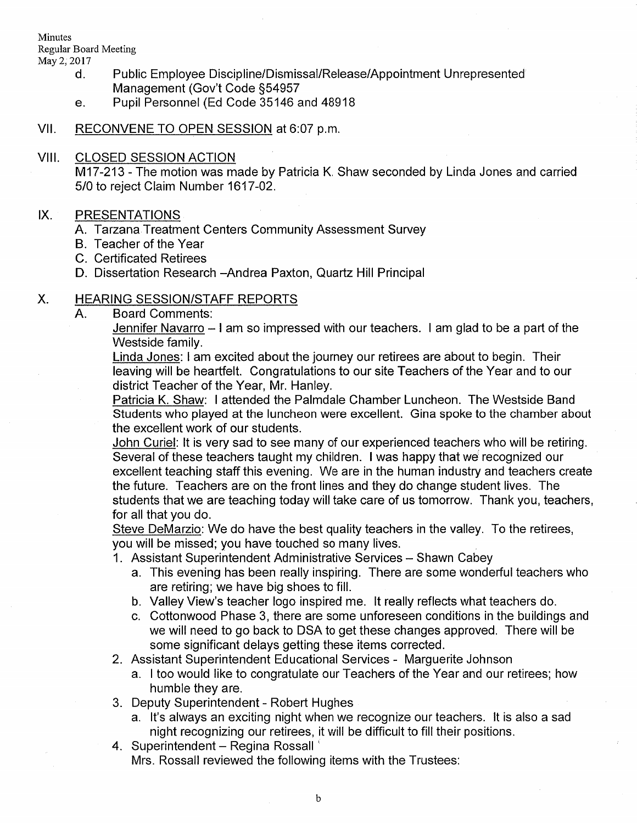Minutes Regular Board Meeting

- d. Public Employee Discipline/Dismissal/Release/Appointment Unrepresented Management (Gov't Code S54957
- e. Pupil Personnel (Ed Code 35146 and <sup>48918</sup>
- Vll. RECONVENE TO OPEN SESSION at 6:07 p.m.

## VIII. CLOSED SESSION ACTION

M17-213 - The motion was made by Patricia K. Shaw seconded by Linda Jones and carried 5/0 to reject Claim Number 1617-02.

## IX. PRESENTATIONS

- A. Tarzana Treatment Centers Community Assessment Survey
- B. Teacher of the Year
- C. Certificated Retirees
- D. Dissertation Research -Andrea Paxton, Quartz Hill Principal

## X. HEARING SESSION/STAFF REPORTS<br>A. Board Comments:

Jennifer Navarro – I am so impressed with our teachers. I am glad to be a part of the Westside family.

Linda Jones: I am excited about the journey our retirees are about to begin. Their leaving will be heartfelt. Congratulations to our site Teachers of the Year and to our district Teacher of the Year, Mr. Hanley.

Patricia K. Shaw: I attended ihe Palmdale Chamber Luncheon. The Westside Band Students who played at the luncheon were excellent. Gina spoke to the chamber about the excellent work of our students.

John Curiel: lt is very sad to see many of our experienced teachers who will be retiring. Several of these teachers taught my children. I was happy that we recognized our excellent teaching staff this evening. We are in the human industry and teachers create the future. Teachers are on the front lines and they do change student lives. The students that we are teaching today will take care of us tomorrow. Thank you, teachers, for all that you do.

Steve DeMarzio: We do have the best quality teachers in the valley. To the retirees, you will be missed; you have touched so many lives.

- 1. Assistant Superintendent Administrative Services Shawn Cabey
	- a. This evening has been really inspiring. There are some wonderful teachers who are retiring; we have big shoes to fill.
	- b. Valley View's teacher logo inspired me, lt really reflects what teachers do.
	- c. Cottonwood Phase 3, there are some unforeseen conditions in the buildings and we will need to go back to DSA to get these changes approved. There will be some significant delays getting these items corrected.
- 2. Assistant Superintendent Educational Services Marguerite Johnson
	- a. I too would like to congratulate our Teachers of the Year and our retirees; how
- humble they are.<br>3. Deputy Superintendent Robert Hughes
- a. lt's always an exciting night when we recognize our teachers. lt is also a sad night recognizing our retirees, it will be difficult to fill their positions.<br>4. Superintendent – Regina Rossall
- Mrs. Rossall reviewed the following items with the Trusiees: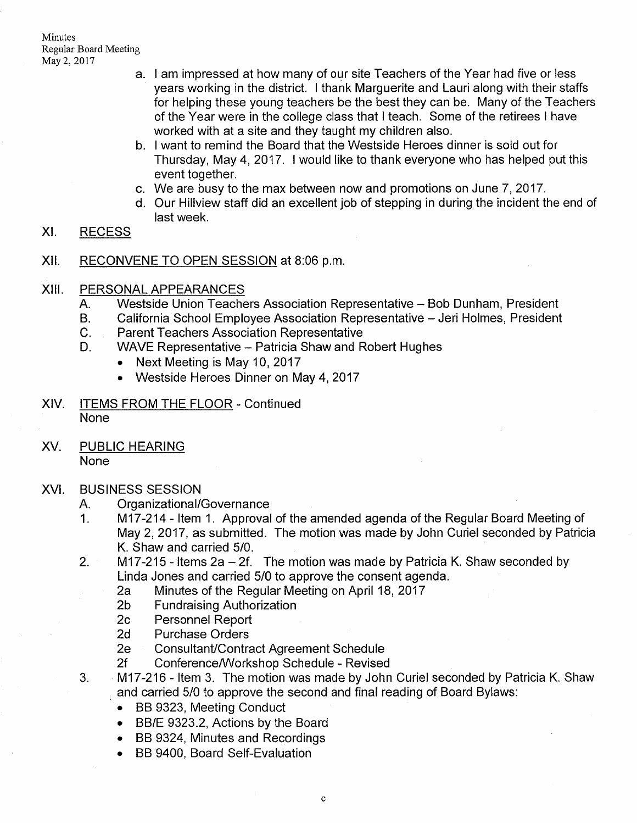- a. <sup>I</sup>am impressed at how many of our site Teachers of the Year had five or less years working in the district. I thank Marguerite and Lauri along with their staffs for helping these young teachers be the besi they can be. Many of the Teachers of the Year were in the college class that I teach. Some of the retirees I have worked with at a site and they taught my children also.
- o. I want to remind the Board that the Westside Heroes dinner is sold out for Thursday, May 4,2017. I would like to thank everyone who has helped put this event together.
- $\,$  We are busy to the max between now and promotions on June 7, 2017.
- d. Our Hillview staff did an excellent job of stepping in during the incident the end of last week.

#### xt. RECESS

- xil. RECONVENE TO OPEN SESSION at 8:06 p.m
- XIII
	-
	- PERSONAL APPEARANCES<br>
	A. Westside Union Teachers Association Representative Bob Dunham, President<br>
	B. California School Employee Association Representative Jeri Holmes, President<br>
	C. Parent Teachers Association Represe
	-
	- - . Next Meeting is May 10, 2017
		- Westside Heroes Dinner on May 4, 2017
- XlV. ITEMS FROM THE FLOOR Continued None
- XV. PUBLIC HEARING None

## XVI.

- 
- BUSINESS SESSION<br>A. Organizational/Governance<br>1. M17-214 Item 1. Approval of the amended agenda of the Regular Board Meeting of May 2,2017, as submitted. The motion was made by John Curiel seconded by Patricia
- K. Shaw and carried 5/0.<br>2. M17-215 Items 2a 2f. The motion was made by Patricia K. Shaw seconded by<br>1. Linda Jones and carried 5/0 to approve the consent agenda.
	- 2a Minutes of the Regular Meeting on April 18, 2017<br>2b Fundraising Authorization<br>2c Personnel Report<br>2d Purchase Orders
	-
	-
	-
	-
	-
- 2e Consultant/Contract Agreement Schedule<br>2f Conference/Workshop Schedule Revised<br>3. M17-216 ltem 3. The motion was made by John Curiel seconded by Patricia K. Shaw and carried 5/0 to approve the second and final reading of Board Bylaws
	- . BB 9323, Meeting Conduct
	- . BB/E 9323.2, Actions by the Board
	- BB 9324, Minutes and Recordings
	- . BB 9400, Board Self-Evaluation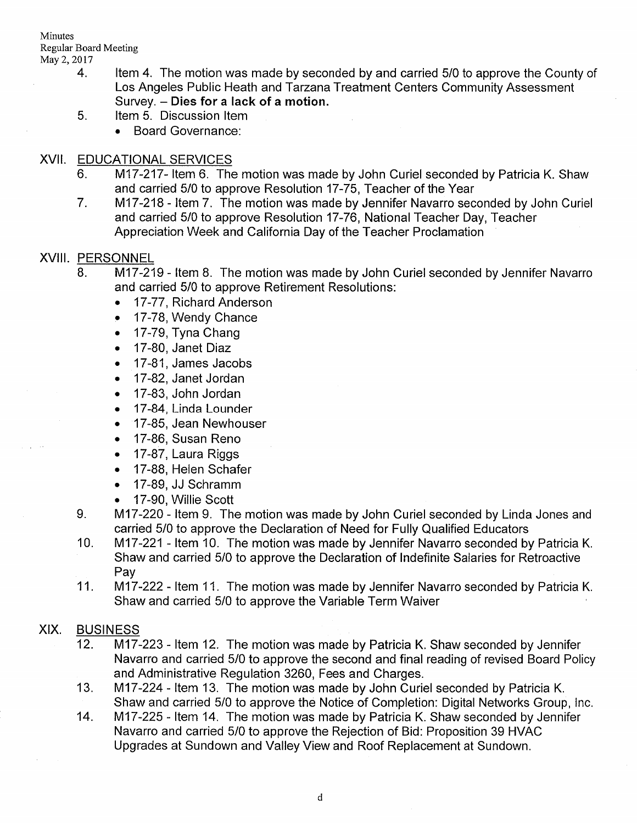Minutes Regular Board Meeting

- 4. Item 4. The motion was made by seconded by and carried 5/0 to approve the County of Los Angeles Public Heath and Tarzana Treatment Centers Community Assessment Survey. - Dies for a lack of a motion.<br>5. ltem 5. Discussion Item
	- - . Board Governance:

- XVII. EDUCATIONAL SERVICES<br>6. M17-217- Item 6. The motion was made by John Curiel seconded by Patricia K. Shaw and carried 5/0 to approve Resolution 17-75, Teacher of the Year
	- 7. M17-218 Item 7. The motion was made by Jennifer Navarro seconded by John Curiel and carried 5/0 to approve Resolution 17-76, National Teacher Day, Teacher Appreciation Week and California Day of the Teacher Proclamation

- XVIII. PERSONNEL<br>8. M17-219 Item 8. The motion was made by John Curiel seconded by Jennifer Navarro and carried 5/0 to approve Retirement Resolutions:
	- . 17-77, Richard Anderson
	- 17-78, Wendy Chance
	- 17-79, Tyna Chang
	- 17-80, Janet Diaz
	- . 17-81 , James Jacobs
	- . 17-82, Janet Jordan
	- . 17-83, John Jordan
	- . 17-84, Linda Lounder
	- . 17-85, Jean Newhouser
	- . 17-86, Susan Reno
	- . 17-87, Laura Riggs
	- . 17-88, Helen Schafer
	- . 17-89, JJ Schramm
	-
	- 17-90, Willie Scott <br>9. M17-220 Item 9. The motion was made by John Curiel seconded by Linda Jones and<br>carried 5/0 to approve the Declaration of Need for Fully Qualified Educators
	- 10. M17-221 Item 10. The motion was made by Jennifer Navarro seconded by Patricia K. Shaw and carried 5/0 to approve the Declaration of lndefinite Salaries for Retroactive Pay
	- 11. M17-222 Item 11. The motion was made by Jennifer Navarro seconded by Patricia K. Shaw and carried 5/0 to approve the Variable Term Waiver

# XIX. BUSINESS

- 12. M17-223 ltem 12. The motion was made by Patricia K. Shaw seconded by Jennifer Navarro and carried 5/0 to approve the second and final reading of revised Board Policy and Administrative Regulation 3260, Fees and Charges.<br>13. M17-224 - Item 13. The motion was made by John Curiel seconded by Patricia K.
- Shaw and carried 5/0 to approve the Notice of Completion: Digital Networks Group, Inc.<br>14. M17-225 Item 14. The motion was made by Patricia K. Shaw seconded by Jennifer
- Navarro and carried 5/0 to approve the Rejection of Bid: Proposition 39 HVAC Upgrades at Sundown and Valley View and Roof Replacement at Sundown.